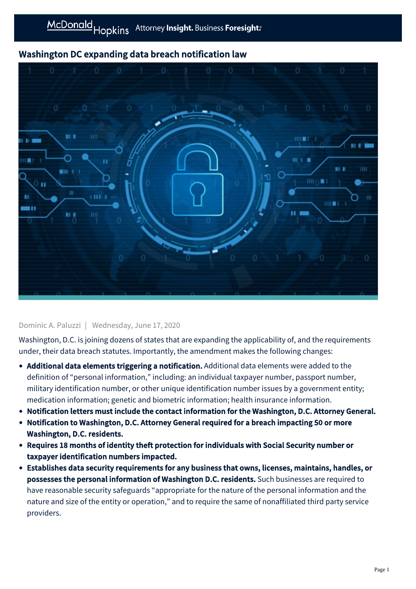## Washington DC expanding data breach notification law



## Dominic A. Paluzzi | Wednesday, June 17, 2020

Washington, D.C. is joining dozens of states that are expanding the applicability of, and the requirements under, their data breach statutes. Importantly, the amendment makes the following changes:

- Additional data elements triggering a notification. Additional data elements were added to the definition of "personal information," including: an individual taxpayer number, passport number, military identification number, or other unique identification number issues by a government entity; medication information; genetic and biometric information; health insurance information.
- Notification letters must include the contact information for the Washington, D.C. Attorney General.
- Notification to Washington, D.C. Attorney General required for a breach impacting 50 or more Washington, D.C. residents.
- Requires 18 months of identity theft protection for individuals with Social Security number or taxpayer identification numbers impacted.
- Establishes data security requirements for any business that owns, licenses, maintains, handles, or possesses the personal information of Washington D.C. residents. Such businesses are required to have reasonable security safeguards "appropriate for the nature of the personal information and the nature and size of the entity or operation," and to require the same of nonaffiliated third party service providers.